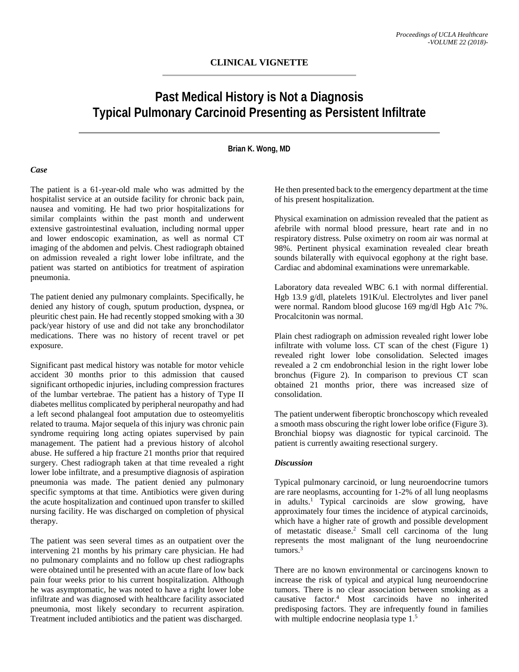# **Past Medical History is Not a Diagnosis Typical Pulmonary Carcinoid Presenting as Persistent Infiltrate**

## **Brian K. Wong, MD**

### *Case*

The patient is a 61-year-old male who was admitted by the hospitalist service at an outside facility for chronic back pain, nausea and vomiting. He had two prior hospitalizations for similar complaints within the past month and underwent extensive gastrointestinal evaluation, including normal upper and lower endoscopic examination, as well as normal CT imaging of the abdomen and pelvis. Chest radiograph obtained on admission revealed a right lower lobe infiltrate, and the patient was started on antibiotics for treatment of aspiration pneumonia.

The patient denied any pulmonary complaints. Specifically, he denied any history of cough, sputum production, dyspnea, or pleuritic chest pain. He had recently stopped smoking with a 30 pack/year history of use and did not take any bronchodilator medications. There was no history of recent travel or pet exposure.

Significant past medical history was notable for motor vehicle accident 30 months prior to this admission that caused significant orthopedic injuries, including compression fractures of the lumbar vertebrae. The patient has a history of Type II diabetes mellitus complicated by peripheral neuropathy and had a left second phalangeal foot amputation due to osteomyelitis related to trauma. Major sequela of this injury was chronic pain syndrome requiring long acting opiates supervised by pain management. The patient had a previous history of alcohol abuse. He suffered a hip fracture 21 months prior that required surgery. Chest radiograph taken at that time revealed a right lower lobe infiltrate, and a presumptive diagnosis of aspiration pneumonia was made. The patient denied any pulmonary specific symptoms at that time. Antibiotics were given during the acute hospitalization and continued upon transfer to skilled nursing facility. He was discharged on completion of physical therapy.

The patient was seen several times as an outpatient over the intervening 21 months by his primary care physician. He had no pulmonary complaints and no follow up chest radiographs were obtained until he presented with an acute flare of low back pain four weeks prior to his current hospitalization. Although he was asymptomatic, he was noted to have a right lower lobe infiltrate and was diagnosed with healthcare facility associated pneumonia, most likely secondary to recurrent aspiration. Treatment included antibiotics and the patient was discharged.

He then presented back to the emergency department at the time of his present hospitalization.

Physical examination on admission revealed that the patient as afebrile with normal blood pressure, heart rate and in no respiratory distress. Pulse oximetry on room air was normal at 98%. Pertinent physical examination revealed clear breath sounds bilaterally with equivocal egophony at the right base. Cardiac and abdominal examinations were unremarkable.

Laboratory data revealed WBC 6.1 with normal differential. Hgb 13.9 g/dl, platelets 191K/ul. Electrolytes and liver panel were normal. Random blood glucose 169 mg/dl Hgb A1c 7%. Procalcitonin was normal.

Plain chest radiograph on admission revealed right lower lobe infiltrate with volume loss. CT scan of the chest (Figure 1) revealed right lower lobe consolidation. Selected images revealed a 2 cm endobronchial lesion in the right lower lobe bronchus (Figure 2). In comparison to previous CT scan obtained 21 months prior, there was increased size of consolidation.

The patient underwent fiberoptic bronchoscopy which revealed a smooth mass obscuring the right lower lobe orifice (Figure 3). Bronchial biopsy was diagnostic for typical carcinoid. The patient is currently awaiting resectional surgery.

### *Discussion*

Typical pulmonary carcinoid, or lung neuroendocrine tumors are rare neoplasms, accounting for 1-2% of all lung neoplasms in adults.<sup>1</sup> Typical carcinoids are slow growing, have approximately four times the incidence of atypical carcinoids, which have a higher rate of growth and possible development of metastatic disease.2 Small cell carcinoma of the lung represents the most malignant of the lung neuroendocrine tumors $3$ 

There are no known environmental or carcinogens known to increase the risk of typical and atypical lung neuroendocrine tumors. There is no clear association between smoking as a causative factor.4 Most carcinoids have no inherited predisposing factors. They are infrequently found in families with multiple endocrine neoplasia type 1.<sup>5</sup>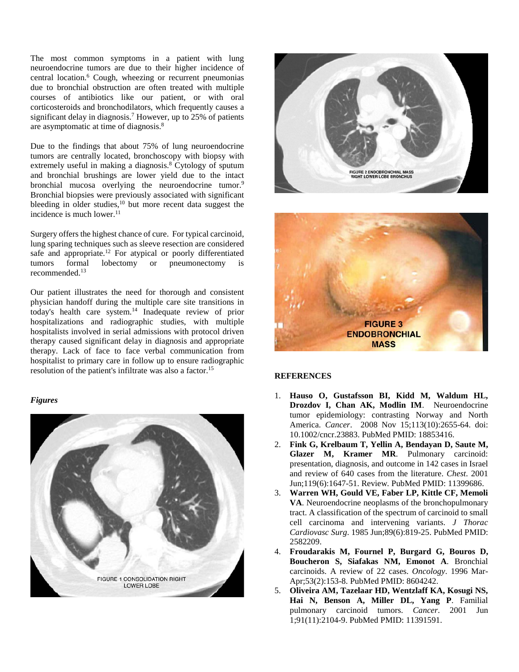The most common symptoms in a patient with lung neuroendocrine tumors are due to their higher incidence of central location.6 Cough, wheezing or recurrent pneumonias due to bronchial obstruction are often treated with multiple courses of antibiotics like our patient, or with oral corticosteroids and bronchodilators, which frequently causes a significant delay in diagnosis.<sup>7</sup> However, up to 25% of patients are asymptomatic at time of diagnosis.8

Due to the findings that about 75% of lung neuroendocrine tumors are centrally located, bronchoscopy with biopsy with extremely useful in making a diagnosis. <sup>8</sup> Cytology of sputum and bronchial brushings are lower yield due to the intact bronchial mucosa overlying the neuroendocrine tumor.<sup>9</sup> Bronchial biopsies were previously associated with significant bleeding in older studies, <sup>10</sup> but more recent data suggest the incidence is much lower. $11$ 

Surgery offers the highest chance of cure. For typical carcinoid, lung sparing techniques such as sleeve resection are considered safe and appropriate.<sup>12</sup> For atypical or poorly differentiated tumors formal lobectomy or pneumonectomy is recommended.13

Our patient illustrates the need for thorough and consistent physician handoff during the multiple care site transitions in today's health care system.14 Inadequate review of prior hospitalizations and radiographic studies, with multiple hospitalists involved in serial admissions with protocol driven therapy caused significant delay in diagnosis and appropriate therapy. Lack of face to face verbal communication from hospitalist to primary care in follow up to ensure radiographic resolution of the patient's infiltrate was also a factor.15

### *Figures*







### **REFERENCES**

- 1. **Hauso O, Gustafsson BI, Kidd M, Waldum HL, Drozdov I, Chan AK, Modlin IM**. Neuroendocrine tumor epidemiology: contrasting Norway and North America. *Cancer*. 2008 Nov 15;113(10):2655-64. doi: 10.1002/cncr.23883. PubMed PMID: 18853416.
- 2. **Fink G, Krelbaum T, Yellin A, Bendayan D, Saute M, Glazer M, Kramer MR**. Pulmonary carcinoid: presentation, diagnosis, and outcome in 142 cases in Israel and review of 640 cases from the literature. *Chest*. 2001 Jun;119(6):1647-51. Review. PubMed PMID: 11399686.
- 3. **Warren WH, Gould VE, Faber LP, Kittle CF, Memoli VA**. Neuroendocrine neoplasms of the bronchopulmonary tract. A classification of the spectrum of carcinoid to small cell carcinoma and intervening variants. *J Thorac Cardiovasc Surg*. 1985 Jun;89(6):819-25. PubMed PMID: 2582209.
- 4. **Froudarakis M, Fournel P, Burgard G, Bouros D, Boucheron S, Siafakas NM, Emonot A**. Bronchial carcinoids. A review of 22 cases. *Oncology*. 1996 Mar-Apr;53(2):153-8. PubMed PMID: 8604242.
- 5. **Oliveira AM, Tazelaar HD, Wentzlaff KA, Kosugi NS, Hai N, Benson A, Miller DL, Yang P**. Familial pulmonary carcinoid tumors. *Cancer*. 2001 Jun 1;91(11):2104-9. PubMed PMID: 11391591.